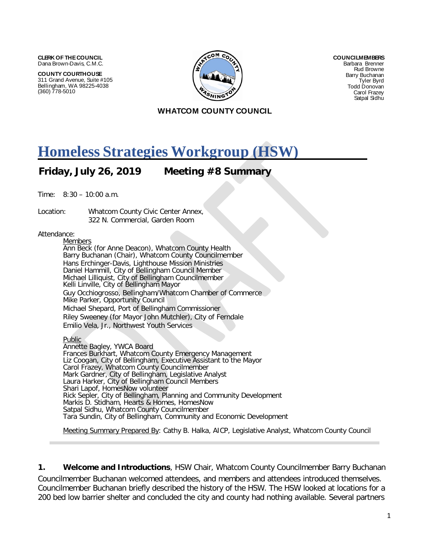**CLERK OF THE COUNCIL** Dana Brown-Davis, C.M.C.

**COUNTY COURTHOUSE** 311 Grand Avenue, Suite #105 Bellingham, WA 98225-4038 (360) 778-5010



**COUNCILMEMBERS** Barbara Brenner Rud Browne Barry Buchanan Tyler Byrd Todd Donovan Carol Frazey Satpal Sidhu

#### **WHATCOM COUNTY COUNCIL**

## **Homeless Strategies Workgroup (HSW)**

**Friday, July 26, 2019 Meeting #8 Summary**

Time: 8:30 – 10:00 a.m.

Location: Whatcom County Civic Center Annex, 322 N. Commercial, Garden Room

#### Attendance:

**Members** Ann Beck (for Anne Deacon), Whatcom County Health Barry Buchanan (Chair), Whatcom County Councilmember Hans Erchinger-Davis, Lighthouse Mission Ministries Daniel Hammill, City of Bellingham Council Member Michael Lilliquist, City of Bellingham Councilmember Kelli Linville, City of Bellingham Mayor Guy Occhiogrosso, Bellingham/Whatcom Chamber of Commerce Mike Parker, Opportunity Council Michael Shepard, Port of Bellingham Commissioner Riley Sweeney (for Mayor John Mutchler), City of Ferndale Emilio Vela, Jr., Northwest Youth Services

**Public** Annette Bagley, YWCA Board Frances Burkhart, Whatcom County Emergency Management Liz Coogan, City of Bellingham, Executive Assistant to the Mayor Carol Frazey, Whatcom County Councilmember Mark Gardner, City of Bellingham, Legislative Analyst Laura Harker, City of Bellingham Council Members Shari Lapof, HomesNow volunteer Rick Sepler, City of Bellingham, Planning and Community Development Markis D. Stidham, Hearts & Homes, HomesNow Satpal Sidhu, Whatcom County Councilmember Tara Sundin, City of Bellingham, Community and Economic Development

Meeting Summary Prepared By: Cathy B. Halka, AICP, Legislative Analyst, Whatcom County Council

**1. Welcome and Introductions**, HSW Chair, Whatcom County Councilmember Barry Buchanan

Councilmember Buchanan welcomed attendees, and members and attendees introduced themselves. Councilmember Buchanan briefly described the history of the HSW. The HSW looked at locations for a 200 bed low barrier shelter and concluded the city and county had nothing available. Several partners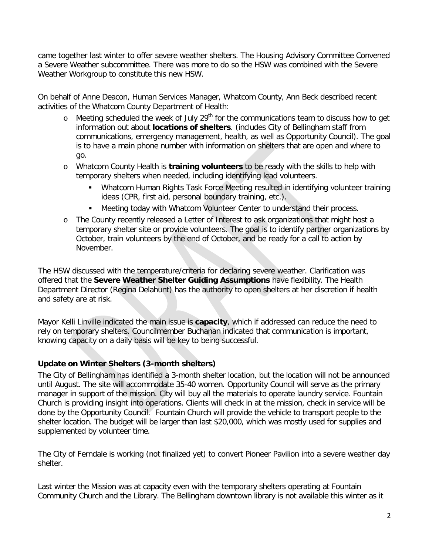came together last winter to offer severe weather shelters. The Housing Advisory Committee Convened a Severe Weather subcommittee. There was more to do so the HSW was combined with the Severe Weather Workgroup to constitute this new HSW.

On behalf of Anne Deacon, Human Services Manager, Whatcom County, Ann Beck described recent activities of the Whatcom County Department of Health:

- $\circ$  Meeting scheduled the week of July 29<sup>th</sup> for the communications team to discuss how to get information out about **locations of shelters**. (includes City of Bellingham staff from communications, emergency management, health, as well as Opportunity Council). The goal is to have a main phone number with information on shelters that are open and where to go.
- o Whatcom County Health is **training volunteers** to be ready with the skills to help with temporary shelters when needed, including identifying lead volunteers.
	- Whatcom Human Rights Task Force Meeting resulted in identifying volunteer training ideas (CPR, first aid, personal boundary training, etc.).
	- Meeting today with Whatcom Volunteer Center to understand their process.
- o The County recently released a Letter of Interest to ask organizations that might host a temporary shelter site or provide volunteers. The goal is to identify partner organizations by October, train volunteers by the end of October, and be ready for a call to action by November.

The HSW discussed with the temperature/criteria for declaring severe weather. Clarification was offered that the **Severe Weather Shelter Guiding Assumptions** have flexibility. The Health Department Director (Regina Delahunt) has the authority to open shelters at her discretion if health and safety are at risk.

Mayor Kelli Linville indicated the main issue is **capacity**, which if addressed can reduce the need to rely on temporary shelters. Councilmember Buchanan indicated that communication is important, knowing capacity on a daily basis will be key to being successful.

#### **Update on Winter Shelters (3-month shelters)**

The City of Bellingham has identified a 3-month shelter location, but the location will not be announced until August. The site will accommodate 35-40 women. Opportunity Council will serve as the primary manager in support of the mission. City will buy all the materials to operate laundry service. Fountain Church is providing insight into operations. Clients will check in at the mission, check in service will be done by the Opportunity Council. Fountain Church will provide the vehicle to transport people to the shelter location. The budget will be larger than last \$20,000, which was mostly used for supplies and supplemented by volunteer time.

The City of Ferndale is working (not finalized yet) to convert Pioneer Pavilion into a severe weather day shelter.

Last winter the Mission was at capacity even with the temporary shelters operating at Fountain Community Church and the Library. The Bellingham downtown library is not available this winter as it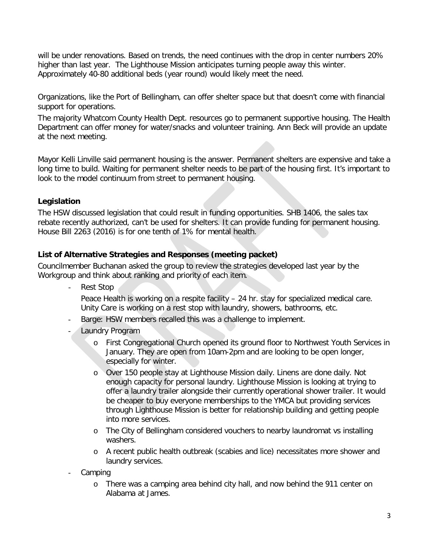will be under renovations. Based on trends, the need continues with the drop in center numbers 20% higher than last year. The Lighthouse Mission anticipates turning people away this winter. Approximately 40-80 additional beds (year round) would likely meet the need.

Organizations, like the Port of Bellingham, can offer shelter space but that doesn't come with financial support for operations.

The majority Whatcom County Health Dept. resources go to permanent supportive housing. The Health Department can offer money for water/snacks and volunteer training. Ann Beck will provide an update at the next meeting.

Mayor Kelli Linville said permanent housing is the answer. Permanent shelters are expensive and take a long time to build. Waiting for permanent shelter needs to be part of the housing first. It's important to look to the model continuum from street to permanent housing.

#### **Legislation**

The HSW discussed legislation that could result in funding opportunities. SHB 1406, the sales tax rebate recently authorized, can't be used for shelters. It can provide funding for permanent housing. House Bill 2263 (2016) is for one tenth of 1% for mental health.

#### **List of Alternative Strategies and Responses (meeting packet)**

Councilmember Buchanan asked the group to review the strategies developed last year by the Workgroup and think about ranking and priority of each item.

Rest Stop

Peace Health is working on a respite facility – 24 hr. stay for specialized medical care. Unity Care is working on a rest stop with laundry, showers, bathrooms, etc.

- Barge: HSW members recalled this was a challenge to implement.
- Laundry Program
	- o First Congregational Church opened its ground floor to Northwest Youth Services in January. They are open from 10am-2pm and are looking to be open longer, especially for winter.
	- o Over 150 people stay at Lighthouse Mission daily. Linens are done daily. Not enough capacity for personal laundry. Lighthouse Mission is looking at trying to offer a laundry trailer alongside their currently operational shower trailer. It would be cheaper to buy everyone memberships to the YMCA but providing services through Lighthouse Mission is better for relationship building and getting people into more services.
	- o The City of Bellingham considered vouchers to nearby laundromat vs installing washers.
	- o A recent public health outbreak (scabies and lice) necessitates more shower and laundry services.
- Camping
	- o There was a camping area behind city hall, and now behind the 911 center on Alabama at James.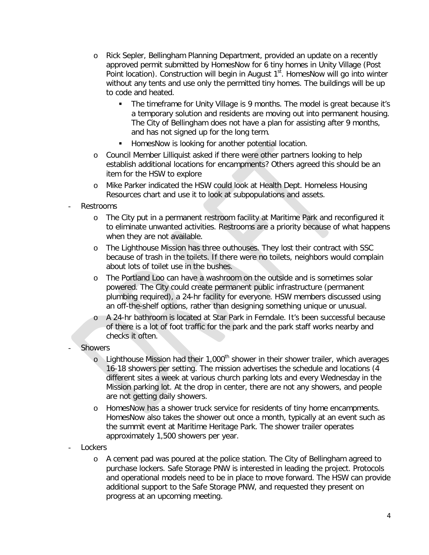- o Rick Sepler, Bellingham Planning Department, provided an update on a recently approved permit submitted by HomesNow for 6 tiny homes in Unity Village (Post Point location). Construction will begin in August  $1<sup>st</sup>$ . HomesNow will go into winter without any tents and use only the permitted tiny homes. The buildings will be up to code and heated.
	- The timeframe for Unity Village is 9 months. The model is great because it's a temporary solution and residents are moving out into permanent housing. The City of Bellingham does not have a plan for assisting after 9 months, and has not signed up for the long term.
	- **HomesNow is looking for another potential location.**
- o Council Member Lilliquist asked if there were other partners looking to help establish additional locations for encampments? Others agreed this should be an item for the HSW to explore
- o Mike Parker indicated the HSW could look at Health Dept. Homeless Housing Resources chart and use it to look at subpopulations and assets.
- **Restrooms** 
	- o The City put in a permanent restroom facility at Maritime Park and reconfigured it to eliminate unwanted activities. Restrooms are a priority because of what happens when they are not available.
	- o The Lighthouse Mission has three outhouses. They lost their contract with SSC because of trash in the toilets. If there were no toilets, neighbors would complain about lots of toilet use in the bushes.
	- o The Portland Loo can have a washroom on the outside and is sometimes solar powered. The City could create permanent public infrastructure (permanent plumbing required), a 24-hr facility for everyone. HSW members discussed using an off-the-shelf options, rather than designing something unique or unusual.
	- o A 24-hr bathroom is located at Star Park in Ferndale. It's been successful because of there is a lot of foot traffic for the park and the park staff works nearby and checks it often.
- **Showers** 
	- o Lighthouse Mission had their 1,000<sup>th</sup> shower in their shower trailer, which averages 16-18 showers per setting. The mission advertises the schedule and locations (4 different sites a week at various church parking lots and every Wednesday in the Mission parking lot. At the drop in center, there are not any showers, and people are not getting daily showers.
	- o HomesNow has a shower truck service for residents of tiny home encampments. HomesNow also takes the shower out once a month, typically at an event such as the summit event at Maritime Heritage Park. The shower trailer operates approximately 1,500 showers per year.
- Lockers
	- o A cement pad was poured at the police station. The City of Bellingham agreed to purchase lockers. Safe Storage PNW is interested in leading the project. Protocols and operational models need to be in place to move forward. The HSW can provide additional support to the Safe Storage PNW, and requested they present on progress at an upcoming meeting.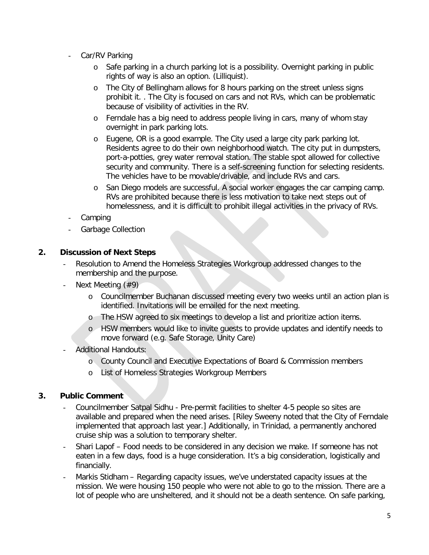- Car/RV Parking
	- o Safe parking in a church parking lot is a possibility. Overnight parking in public rights of way is also an option. (Lilliquist).
	- o The City of Bellingham allows for 8 hours parking on the street unless signs prohibit it. . The City is focused on cars and not RVs, which can be problematic because of visibility of activities in the RV.
	- o Ferndale has a big need to address people living in cars, many of whom stay overnight in park parking lots.
	- o Eugene, OR is a good example. The City used a large city park parking lot. Residents agree to do their own neighborhood watch. The city put in dumpsters, port-a-potties, grey water removal station. The stable spot allowed for collective security and community. There is a self-screening function for selecting residents. The vehicles have to be movable/drivable, and include RVs and cars.
	- o San Diego models are successful. A social worker engages the car camping camp. RVs are prohibited because there is less motivation to take next steps out of homelessness, and it is difficult to prohibit illegal activities in the privacy of RVs.
- **Camping**
- Garbage Collection

#### **2. Discussion of Next Steps**

- Resolution to Amend the Homeless Strategies Workgroup addressed changes to the membership and the purpose.
- Next Meeting  $($ #9)
	- o Councilmember Buchanan discussed meeting every two weeks until an action plan is identified. Invitations will be emailed for the next meeting.
	- o The HSW agreed to six meetings to develop a list and prioritize action items.
	- o HSW members would like to invite guests to provide updates and identify needs to move forward (e.g. Safe Storage, Unity Care)
- Additional Handouts:
	- o County Council and Executive Expectations of Board & Commission members
	- o List of Homeless Strategies Workgroup Members

#### **3. Public Comment**

- Councilmember Satpal Sidhu Pre-permit facilities to shelter 4-5 people so sites are available and prepared when the need arises. [Riley Sweeny noted that the City of Ferndale implemented that approach last year.] Additionally, in Trinidad, a permanently anchored cruise ship was a solution to temporary shelter.
- Shari Lapof Food needs to be considered in any decision we make. If someone has not eaten in a few days, food is a huge consideration. It's a big consideration, logistically and financially.
- Markis Stidham Regarding capacity issues, we've understated capacity issues at the mission. We were housing 150 people who were not able to go to the mission. There are a lot of people who are unsheltered, and it should not be a death sentence. On safe parking,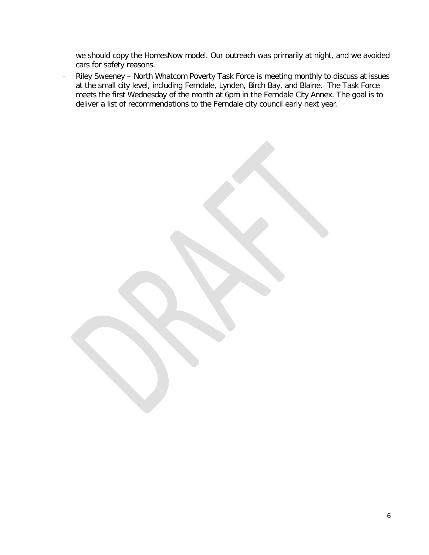we should copy the HomesNow model. Our outreach was primarily at night, and we avoided cars for safety reasons.

- Riley Sweeney – North Whatcom Poverty Task Force is meeting monthly to discuss at issues at the small city level, including Ferndale, Lynden, Birch Bay, and Blaine. The Task Force meets the first Wednesday of the month at 6pm in the Ferndale City Annex. The goal is to deliver a list of recommendations to the Ferndale city council early next year.

6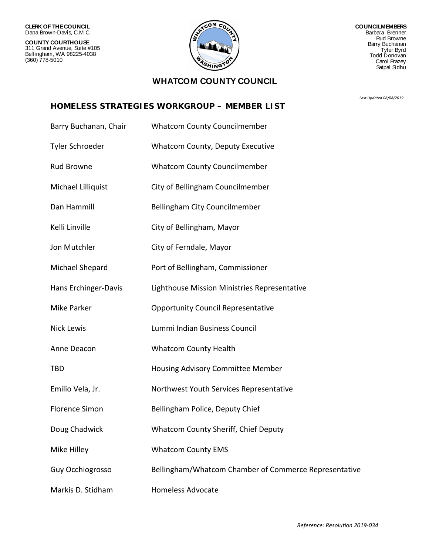**COUNTY COURTHOUSE** 311 Grand Avenue, Suite #105 Bellingham, WA 98225-4038 (360) 778-5010



**COUNCILMEMBERS** Barbara Brenner Rud Browne Barry Buchanan Tyler Byrd Todd Donovan Carol Frazey Satpal Sidhu

#### **WHATCOM COUNTY COUNCIL**

*Last Updated 08/08/2019*

#### **HOMELESS STRATEGIES WORKGROUP – MEMBER LIST**

| Barry Buchanan, Chair | <b>Whatcom County Councilmember</b>                   |
|-----------------------|-------------------------------------------------------|
| Tyler Schroeder       | Whatcom County, Deputy Executive                      |
| <b>Rud Browne</b>     | <b>Whatcom County Councilmember</b>                   |
| Michael Lilliquist    | City of Bellingham Councilmember                      |
| Dan Hammill           | Bellingham City Councilmember                         |
| Kelli Linville        | City of Bellingham, Mayor                             |
| Jon Mutchler          | City of Ferndale, Mayor                               |
| Michael Shepard       | Port of Bellingham, Commissioner                      |
| Hans Erchinger-Davis  | Lighthouse Mission Ministries Representative          |
| <b>Mike Parker</b>    | <b>Opportunity Council Representative</b>             |
| <b>Nick Lewis</b>     | Lummi Indian Business Council                         |
| Anne Deacon           | <b>Whatcom County Health</b>                          |
| <b>TBD</b>            | Housing Advisory Committee Member                     |
| Emilio Vela, Jr.      | Northwest Youth Services Representative               |
| <b>Florence Simon</b> | Bellingham Police, Deputy Chief                       |
| Doug Chadwick         | <b>Whatcom County Sheriff, Chief Deputy</b>           |
| Mike Hilley           | <b>Whatcom County EMS</b>                             |
| Guy Occhiogrosso      | Bellingham/Whatcom Chamber of Commerce Representative |
| Markis D. Stidham     | <b>Homeless Advocate</b>                              |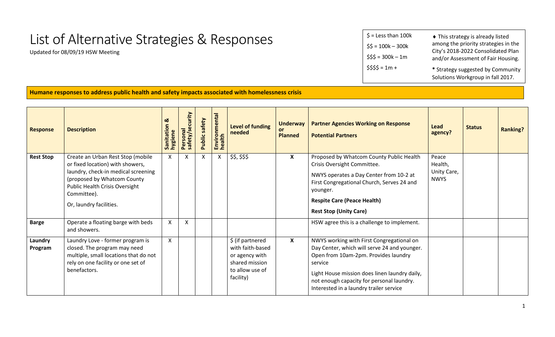# List of Alternative Strategies & Responses

Updated for 08/09/19 HSW Meeting

| $$ =$ Less than 100k | • This strategy is already listed                                        |
|----------------------|--------------------------------------------------------------------------|
| $$5 = 100k - 300k$   | among the priority strategies in the                                     |
| $$55 = 300k - 1m$    | City's 2018-2022 Consolidated Plan<br>and/or Assessment of Fair Housing. |
| $$555 = 1m +$        | * Strategy suggested by Community<br>Solutions Workgroup in fall 2017.   |

**Humane responses to address public health and safety impacts associated with homelessness crisis**

| <b>Response</b>    | <b>Description</b>                                                                                                                                                                                                             | ಡ<br>Sanitation<br>hygiene | Personal<br>safety/security | Public safety | Environmental<br>health | Level of funding<br>needed                                                                               | <b>Underway</b><br>or.<br><b>Planned</b> | <b>Partner Agencies Working on Response</b><br><b>Potential Partners</b>                                                                                                                                                                                                              | Lead<br>agency?                                | <b>Status</b> | <b>Ranking?</b> |
|--------------------|--------------------------------------------------------------------------------------------------------------------------------------------------------------------------------------------------------------------------------|----------------------------|-----------------------------|---------------|-------------------------|----------------------------------------------------------------------------------------------------------|------------------------------------------|---------------------------------------------------------------------------------------------------------------------------------------------------------------------------------------------------------------------------------------------------------------------------------------|------------------------------------------------|---------------|-----------------|
| <b>Rest Stop</b>   | Create an Urban Rest Stop (mobile<br>or fixed location) with showers,<br>laundry, check-in medical screening<br>(proposed by Whatcom County<br><b>Public Health Crisis Oversight</b><br>Committee).<br>Or, laundry facilities. | $\mathsf{X}$               | X                           | X             | X                       | \$\$, \$\$\$                                                                                             | X                                        | Proposed by Whatcom County Public Health<br>Crisis Oversight Committee.<br>NWYS operates a Day Center from 10-2 at<br>First Congregational Church, Serves 24 and<br>younger.<br><b>Respite Care (Peace Health)</b><br><b>Rest Stop (Unity Care)</b>                                   | Peace<br>Health,<br>Unity Care,<br><b>NWYS</b> |               |                 |
| <b>Barge</b>       | Operate a floating barge with beds<br>and showers.                                                                                                                                                                             | X                          | X                           |               |                         |                                                                                                          |                                          | HSW agree this is a challenge to implement.                                                                                                                                                                                                                                           |                                                |               |                 |
| Laundry<br>Program | Laundry Love - former program is<br>closed. The program may need<br>multiple, small locations that do not<br>rely on one facility or one set of<br>benefactors.                                                                | $\mathsf{X}$               |                             |               |                         | \$ (if partnered<br>with faith-based<br>or agency with<br>shared mission<br>to allow use of<br>facility) | $\boldsymbol{\mathsf{x}}$                | NWYS working with First Congregational on<br>Day Center, which will serve 24 and younger.<br>Open from 10am-2pm. Provides laundry<br>service<br>Light House mission does linen laundry daily,<br>not enough capacity for personal laundry.<br>Interested in a laundry trailer service |                                                |               |                 |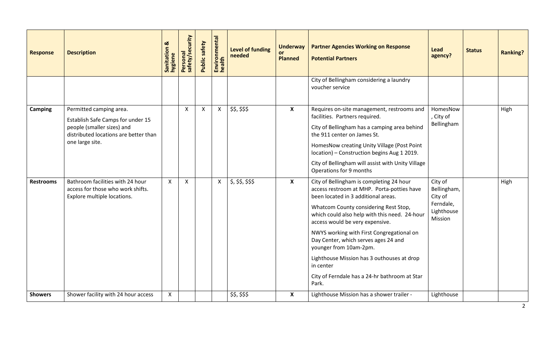| <b>Response</b>  | <b>Description</b>                                                                                                                                     | <u>ನ</u><br>Sanitation &<br>hygiene | Personal<br>safety/security | Public safety | Environmental<br>health | <b>Level of funding</b><br>needed | <b>Underway</b><br>or.<br><b>Planned</b> | <b>Partner Agencies Working on Response</b><br><b>Potential Partners</b>                                                                                                                                                                                                                                                                                                                                                                                                                       | <b>Lead</b><br>agency?                                                  | <b>Status</b> | <b>Ranking?</b> |
|------------------|--------------------------------------------------------------------------------------------------------------------------------------------------------|-------------------------------------|-----------------------------|---------------|-------------------------|-----------------------------------|------------------------------------------|------------------------------------------------------------------------------------------------------------------------------------------------------------------------------------------------------------------------------------------------------------------------------------------------------------------------------------------------------------------------------------------------------------------------------------------------------------------------------------------------|-------------------------------------------------------------------------|---------------|-----------------|
|                  |                                                                                                                                                        |                                     |                             |               |                         |                                   |                                          | City of Bellingham considering a laundry<br>voucher service                                                                                                                                                                                                                                                                                                                                                                                                                                    |                                                                         |               |                 |
| <b>Camping</b>   | Permitted camping area.<br>Establish Safe Camps for under 15<br>people (smaller sizes) and<br>distributed locations are better than<br>one large site. |                                     | X                           | $\mathsf{X}$  | $\mathsf{X}$            | \$\$, \$\$\$                      | $\boldsymbol{\mathsf{X}}$                | Requires on-site management, restrooms and<br>facilities. Partners required.<br>City of Bellingham has a camping area behind<br>the 911 center on James St.<br>HomesNow creating Unity Village (Post Point<br>location) - Construction begins Aug 1 2019.<br>City of Bellingham will assist with Unity Village<br>Operations for 9 months                                                                                                                                                      | HomesNow<br>, City of<br>Bellingham                                     |               | High            |
| <b>Restrooms</b> | Bathroom facilities with 24 hour<br>access for those who work shifts.<br>Explore multiple locations.                                                   | $\boldsymbol{\mathsf{X}}$           | $\mathsf{X}$                |               |                         | $x  $ \$, \$\$, \$\$\$            | $\boldsymbol{\mathsf{X}}$                | City of Bellingham is completing 24 hour<br>access restroom at MHP. Porta-potties have<br>been located in 3 additional areas.<br>Whatcom County considering Rest Stop,<br>which could also help with this need. 24-hour<br>access would be very expensive.<br>NWYS working with First Congregational on<br>Day Center, which serves ages 24 and<br>younger from 10am-2pm.<br>Lighthouse Mission has 3 outhouses at drop<br>in center<br>City of Ferndale has a 24-hr bathroom at Star<br>Park. | City of<br>Bellingham,<br>City of<br>Ferndale,<br>Lighthouse<br>Mission |               | High            |
| <b>Showers</b>   | Shower facility with 24 hour access                                                                                                                    | $\mathsf{X}$                        |                             |               |                         | \$\$, \$\$\$                      | $\boldsymbol{\mathsf{X}}$                | Lighthouse Mission has a shower trailer -                                                                                                                                                                                                                                                                                                                                                                                                                                                      | Lighthouse                                                              |               |                 |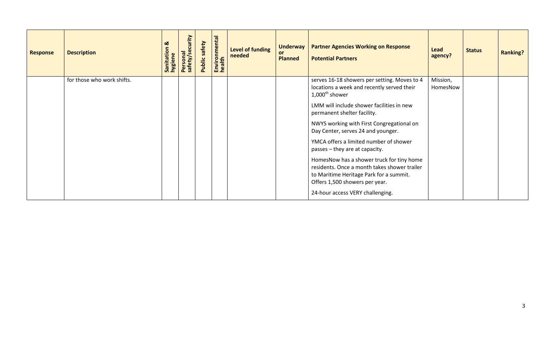| <b>Response</b> | <b>Description</b>         | ಯ<br>Sanitation<br>hygiene | Personal<br>safety/security | safety<br>Public: | Environmental<br>health | Level of funding<br>needed | <b>Underway</b><br><b>or</b><br><b>Planned</b> | <b>Partner Agencies Working on Response</b><br><b>Potential Partners</b>                                                                                               | Lead<br>agency?      | <b>Status</b> | <b>Ranking?</b> |
|-----------------|----------------------------|----------------------------|-----------------------------|-------------------|-------------------------|----------------------------|------------------------------------------------|------------------------------------------------------------------------------------------------------------------------------------------------------------------------|----------------------|---------------|-----------------|
|                 | for those who work shifts. |                            |                             |                   |                         |                            |                                                | serves 16-18 showers per setting. Moves to 4<br>locations a week and recently served their<br>$1,000^{\text{th}}$ shower                                               | Mission,<br>HomesNow |               |                 |
|                 |                            |                            |                             |                   |                         |                            |                                                | LMM will include shower facilities in new<br>permanent shelter facility.                                                                                               |                      |               |                 |
|                 |                            |                            |                             |                   |                         |                            |                                                | NWYS working with First Congregational on<br>Day Center, serves 24 and younger.                                                                                        |                      |               |                 |
|                 |                            |                            |                             |                   |                         |                            |                                                | YMCA offers a limited number of shower<br>passes – they are at capacity.                                                                                               |                      |               |                 |
|                 |                            |                            |                             |                   |                         |                            |                                                | HomesNow has a shower truck for tiny home<br>residents. Once a month takes shower trailer<br>to Maritime Heritage Park for a summit.<br>Offers 1,500 showers per year. |                      |               |                 |
|                 |                            |                            |                             |                   |                         |                            |                                                | 24-hour access VERY challenging.                                                                                                                                       |                      |               |                 |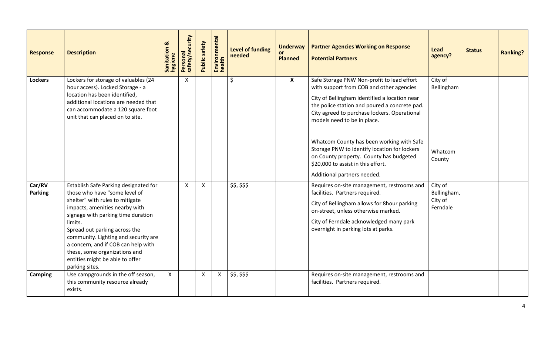| <b>Response</b>          | <b>Description</b>                                                                                                                                                                                                                                                                                                                                                                                 | œ<br>Sanitation &<br>hygiene | Personal<br>safety/security | Public safety             | Environmental<br>health | <b>Level of funding</b><br>needed | <b>Underway</b><br>or<br><b>Planned</b> | <b>Partner Agencies Working on Response</b><br><b>Potential Partners</b>                                                                                                                                                                                                                                                                                                                                                                                                             | Lead<br>agency?                               | <b>Status</b> | <b>Ranking?</b> |
|--------------------------|----------------------------------------------------------------------------------------------------------------------------------------------------------------------------------------------------------------------------------------------------------------------------------------------------------------------------------------------------------------------------------------------------|------------------------------|-----------------------------|---------------------------|-------------------------|-----------------------------------|-----------------------------------------|--------------------------------------------------------------------------------------------------------------------------------------------------------------------------------------------------------------------------------------------------------------------------------------------------------------------------------------------------------------------------------------------------------------------------------------------------------------------------------------|-----------------------------------------------|---------------|-----------------|
| <b>Lockers</b>           | Lockers for storage of valuables (24<br>hour access). Locked Storage - a<br>location has been identified,<br>additional locations are needed that<br>can accommodate a 120 square foot<br>unit that can placed on to site.                                                                                                                                                                         |                              | $\mathsf{X}$                |                           |                         | \$                                | $\boldsymbol{X}$                        | Safe Storage PNW Non-profit to lead effort<br>with support from COB and other agencies<br>City of Bellingham identified a location near<br>the police station and poured a concrete pad.<br>City agreed to purchase lockers. Operational<br>models need to be in place.<br>Whatcom County has been working with Safe<br>Storage PNW to identify location for lockers<br>on County property. County has budgeted<br>\$20,000 to assist in this effort.<br>Additional partners needed. | City of<br>Bellingham<br>Whatcom<br>County    |               |                 |
| Car/RV<br><b>Parking</b> | Establish Safe Parking designated for<br>those who have "some level of<br>shelter" with rules to mitigate<br>impacts, amenities nearby with<br>signage with parking time duration<br>limits.<br>Spread out parking across the<br>community. Lighting and security are<br>a concern, and if COB can help with<br>these, some organizations and<br>entities might be able to offer<br>parking sites. |                              | $\mathsf{X}$                | $\boldsymbol{\mathsf{X}}$ |                         | \$5, \$55                         |                                         | Requires on-site management, restrooms and<br>facilities. Partners required.<br>City of Bellingham allows for 8hour parking<br>on-street, unless otherwise marked.<br>City of Ferndale acknowledged many park<br>overnight in parking lots at parks.                                                                                                                                                                                                                                 | City of<br>Bellingham,<br>City of<br>Ferndale |               |                 |
| Camping                  | Use campgrounds in the off season,<br>this community resource already<br>exists.                                                                                                                                                                                                                                                                                                                   | $\mathsf{X}$                 |                             | $\mathsf{X}$              | $\mathsf{X}$            | \$5, \$55                         |                                         | Requires on-site management, restrooms and<br>facilities. Partners required.                                                                                                                                                                                                                                                                                                                                                                                                         |                                               |               |                 |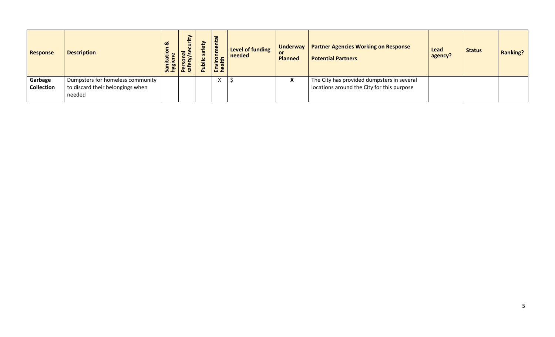| <b>Response</b>              | <b>Description</b>                                                             | ಿ<br>Sanit<br>hygie | E<br>۰.<br>ര_ഗ<br>ers<br>afet<br>മശ | ēty<br>$\bar{\sigma}$<br>$\frac{1}{5}$<br>௳ | 호텔<br>Envi<br>hea | Level of funding<br>needed | Underway  <br>or<br><b>Planned</b> | <b>Partner Agencies Working on Response</b><br><b>Potential Partners</b>                 | Lead<br>agency? | <b>Status</b> | <b>Ranking?</b> |
|------------------------------|--------------------------------------------------------------------------------|---------------------|-------------------------------------|---------------------------------------------|-------------------|----------------------------|------------------------------------|------------------------------------------------------------------------------------------|-----------------|---------------|-----------------|
| Garbage<br><b>Collection</b> | Dumpsters for homeless community<br>to discard their belongings when<br>needed |                     |                                     |                                             |                   |                            | X                                  | The City has provided dumpsters in several<br>locations around the City for this purpose |                 |               |                 |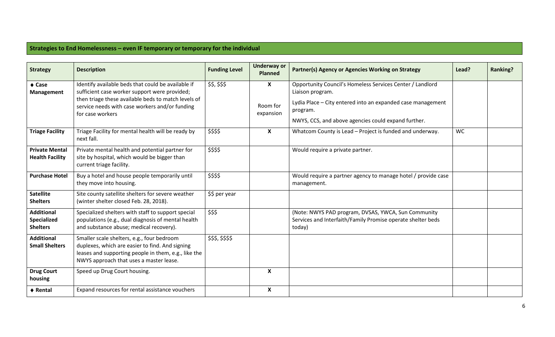### **Strategies to End Homelessness – even IF temporary or temporary for the individual**

| <b>Strategy</b>                                     | <b>Description</b>                                                                                                                                                                               | <b>Funding Level</b> | <b>Underway or</b><br><b>Planned</b> | Partner(s) Agency or Agencies Working on Strategy                                                                              | Lead? | <b>Ranking?</b> |
|-----------------------------------------------------|--------------------------------------------------------------------------------------------------------------------------------------------------------------------------------------------------|----------------------|--------------------------------------|--------------------------------------------------------------------------------------------------------------------------------|-------|-----------------|
| $\triangle$ Case<br><b>Management</b>               | Identify available beds that could be available if<br>sufficient case worker support were provided;                                                                                              | \$\$, \$\$\$         | X                                    | Opportunity Council's Homeless Services Center / Landlord<br>Liaison program.                                                  |       |                 |
|                                                     | then triage these available beds to match levels of<br>service needs with case workers and/or funding<br>for case workers                                                                        |                      | Room for<br>expansion                | Lydia Place - City entered into an expanded case management<br>program.<br>NWYS, CCS, and above agencies could expand further. |       |                 |
| <b>Triage Facility</b>                              | Triage Facility for mental health will be ready by<br>next fall.                                                                                                                                 | \$\$\$\$             | $\boldsymbol{\mathsf{X}}$            | Whatcom County is Lead - Project is funded and underway.                                                                       | WC    |                 |
| <b>Private Mental</b><br><b>Health Facility</b>     | Private mental health and potential partner for<br>site by hospital, which would be bigger than<br>current triage facility.                                                                      | \$\$\$\$             |                                      | Would require a private partner.                                                                                               |       |                 |
| <b>Purchase Hotel</b>                               | Buy a hotel and house people temporarily until<br>they move into housing.                                                                                                                        | \$\$\$\$             |                                      | Would require a partner agency to manage hotel / provide case<br>management.                                                   |       |                 |
| <b>Satellite</b><br><b>Shelters</b>                 | Site county satellite shelters for severe weather<br>(winter shelter closed Feb. 28, 2018).                                                                                                      | \$\$ per year        |                                      |                                                                                                                                |       |                 |
| <b>Additional</b><br>Specialized<br><b>Shelters</b> | Specialized shelters with staff to support special<br>populations (e.g., dual diagnosis of mental health<br>and substance abuse; medical recovery).                                              | \$\$\$               |                                      | (Note: NWYS PAD program, DVSAS, YWCA, Sun Community<br>Services and Interfaith/Family Promise operate shelter beds<br>today)   |       |                 |
| <b>Additional</b><br><b>Small Shelters</b>          | Smaller scale shelters, e.g., four bedroom<br>duplexes, which are easier to find. And signing<br>leases and supporting people in them, e.g., like the<br>NWYS approach that uses a master lease. | \$\$\$,\$\$\$\$      |                                      |                                                                                                                                |       |                 |
| <b>Drug Court</b><br>housing                        | Speed up Drug Court housing.                                                                                                                                                                     |                      | $\boldsymbol{\mathsf{X}}$            |                                                                                                                                |       |                 |
| ♦ Rental                                            | Expand resources for rental assistance vouchers                                                                                                                                                  |                      | $\boldsymbol{\mathsf{X}}$            |                                                                                                                                |       |                 |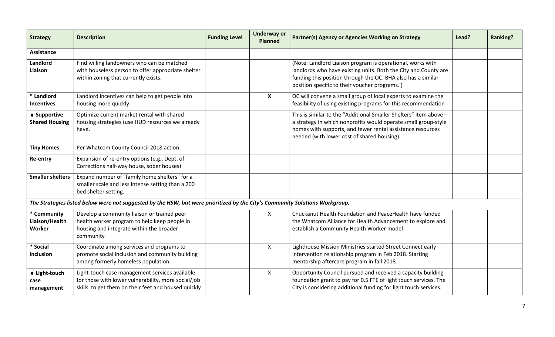| <b>Strategy</b>                                 | <b>Description</b>                                                                                                                                           | <b>Funding Level</b> | <b>Underway or</b><br><b>Planned</b> | Partner(s) Agency or Agencies Working on Strategy                                                                                                                                                                                                | Lead? | <b>Ranking?</b> |
|-------------------------------------------------|--------------------------------------------------------------------------------------------------------------------------------------------------------------|----------------------|--------------------------------------|--------------------------------------------------------------------------------------------------------------------------------------------------------------------------------------------------------------------------------------------------|-------|-----------------|
| <b>Assistance</b>                               |                                                                                                                                                              |                      |                                      |                                                                                                                                                                                                                                                  |       |                 |
| Landlord<br>Liaison                             | Find willing landowners who can be matched<br>with houseless person to offer appropriate shelter<br>within zoning that currently exists.                     |                      |                                      | (Note: Landlord Liaison program is operational, works with<br>landlords who have existing units. Both the City and County are<br>funding this position through the OC. BHA also has a similar<br>position specific to their voucher programs.)   |       |                 |
| * Landlord<br><b>Incentives</b>                 | Landlord incentives can help to get people into<br>housing more quickly.                                                                                     |                      | $\mathsf{x}$                         | OC will convene a small group of local experts to examine the<br>feasibility of using existing programs for this recommendation                                                                                                                  |       |                 |
| $\triangle$ Supportive<br><b>Shared Housing</b> | Optimize current market rental with shared<br>housing strategies (use HUD resources we already<br>have.                                                      |                      |                                      | This is similar to the "Additional Smaller Shelters" item above -<br>a strategy in which nonprofits would operate small group-style<br>homes with supports, and fewer rental assistance resources<br>needed (with lower cost of shared housing). |       |                 |
| <b>Tiny Homes</b>                               | Per Whatcom County Council 2018 action                                                                                                                       |                      |                                      |                                                                                                                                                                                                                                                  |       |                 |
| Re-entry                                        | Expansion of re-entry options (e.g., Dept. of<br>Corrections half-way house, sober houses)                                                                   |                      |                                      |                                                                                                                                                                                                                                                  |       |                 |
| <b>Smaller shelters</b>                         | Expand number of "family home shelters" for a<br>smaller scale and less intense setting than a 200<br>bed shelter setting.                                   |                      |                                      |                                                                                                                                                                                                                                                  |       |                 |
|                                                 | The Strategies listed below were not suggested by the HSW, but were prioritized by the City's Community Solutions Workgroup.                                 |                      |                                      |                                                                                                                                                                                                                                                  |       |                 |
| * Community<br>Liaison/Health<br>Worker         | Develop a community liaison or trained peer<br>health worker program to help keep people in<br>housing and integrate within the broader<br>community         |                      | X                                    | Chuckanut Health Foundation and PeaceHealth have funded<br>the Whatcom Alliance for Health Advancement to explore and<br>establish a Community Health Worker model                                                                               |       |                 |
| * Social<br>inclusion                           | Coordinate among services and programs to<br>promote social inclusion and community building<br>among formerly homeless population                           |                      | X                                    | Lighthouse Mission Ministries started Street Connect early<br>intervention relationship program in Feb 2018. Starting<br>mentorship aftercare program in fall 2018.                                                                              |       |                 |
| ♦ Light-touch<br>case<br>management             | Light-touch case management services available<br>for those with lower vulnerability, more social/job<br>skills to get them on their feet and housed quickly |                      | $\mathsf{X}$                         | Opportunity Council pursued and received a capacity building<br>foundation grant to pay for 0.5 FTE of light touch services. The<br>City is considering additional funding for light touch services.                                             |       |                 |